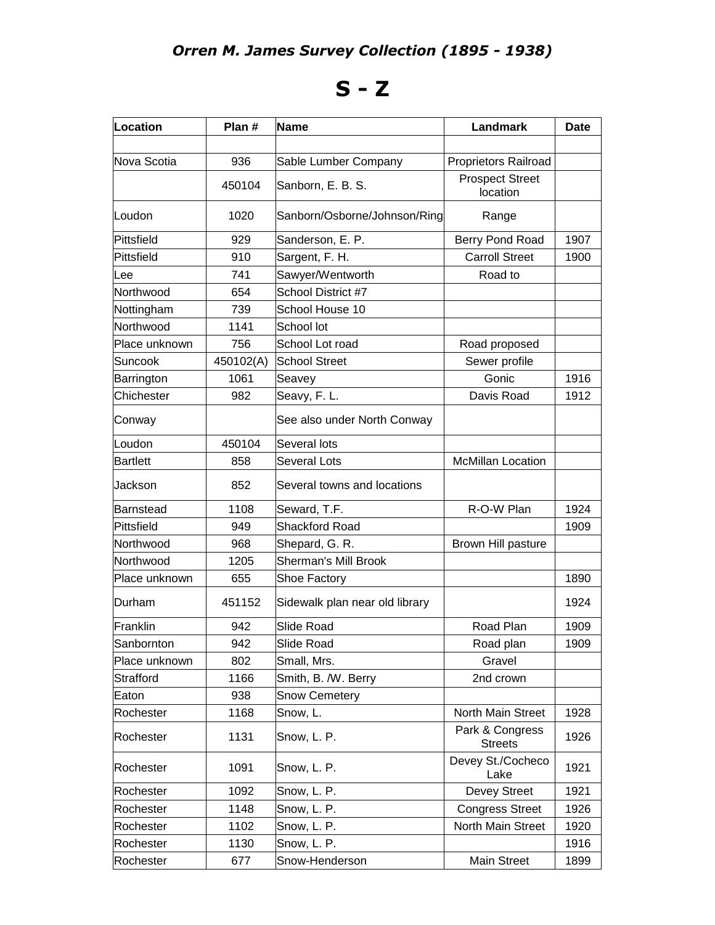## **S - Z**

| Location        | Plan #    | <b>Name</b>                    | Landmark                           | <b>Date</b> |
|-----------------|-----------|--------------------------------|------------------------------------|-------------|
|                 |           |                                |                                    |             |
| Nova Scotia     | 936       | Sable Lumber Company           | <b>Proprietors Railroad</b>        |             |
|                 | 450104    | Sanborn, E. B. S.              | <b>Prospect Street</b><br>location |             |
| Loudon          | 1020      | Sanborn/Osborne/Johnson/Ring   | Range                              |             |
| Pittsfield      | 929       | Sanderson, E. P.               | Berry Pond Road                    | 1907        |
| Pittsfield      | 910       | Sargent, F. H.                 | <b>Carroll Street</b>              | 1900        |
| Lee             | 741       | Sawyer/Wentworth               | Road to                            |             |
| Northwood       | 654       | School District #7             |                                    |             |
| Nottingham      | 739       | School House 10                |                                    |             |
| Northwood       | 1141      | School lot                     |                                    |             |
| Place unknown   | 756       | School Lot road                | Road proposed                      |             |
| <b>Suncook</b>  | 450102(A) | <b>School Street</b>           | Sewer profile                      |             |
| Barrington      | 1061      | Seavey                         | Gonic                              | 1916        |
| Chichester      | 982       | Seavy, F. L.                   | Davis Road                         | 1912        |
| Conway          |           | See also under North Conway    |                                    |             |
| Loudon          | 450104    | Several lots                   |                                    |             |
| <b>Bartlett</b> | 858       | <b>Several Lots</b>            | <b>McMillan Location</b>           |             |
| Jackson         | 852       | Several towns and locations    |                                    |             |
| Barnstead       | 1108      | Seward, T.F.                   | R-O-W Plan                         | 1924        |
| Pittsfield      | 949       | <b>Shackford Road</b>          |                                    | 1909        |
| Northwood       | 968       | Shepard, G. R.                 | Brown Hill pasture                 |             |
| Northwood       | 1205      | <b>Sherman's Mill Brook</b>    |                                    |             |
| Place unknown   | 655       | Shoe Factory                   |                                    | 1890        |
| Durham          | 451152    | Sidewalk plan near old library |                                    | 1924        |
| Franklin        | 942       | Slide Road                     | Road Plan                          | 1909        |
| Sanbornton      | 942       | Slide Road                     | Road plan                          | 1909        |
| Place unknown   | 802       | Small, Mrs.                    | Gravel                             |             |
| Strafford       | 1166      | Smith, B. /W. Berry            | 2nd crown                          |             |
| Eaton           | 938       | <b>Snow Cemetery</b>           |                                    |             |
| Rochester       | 1168      | Snow, L.                       | North Main Street                  | 1928        |
| Rochester       | 1131      | Snow, L. P.                    | Park & Congress<br><b>Streets</b>  | 1926        |
| Rochester       | 1091      | Snow, L. P.                    | Devey St./Cocheco<br>Lake          | 1921        |
| Rochester       | 1092      | Snow, L. P.                    | Devey Street                       | 1921        |
| Rochester       | 1148      | Snow, L. P.                    | <b>Congress Street</b>             | 1926        |
| Rochester       | 1102      | Snow, L. P.                    | North Main Street                  | 1920        |
| Rochester       | 1130      | Snow, L. P.                    |                                    | 1916        |
| Rochester       | 677       | Snow-Henderson                 | <b>Main Street</b>                 | 1899        |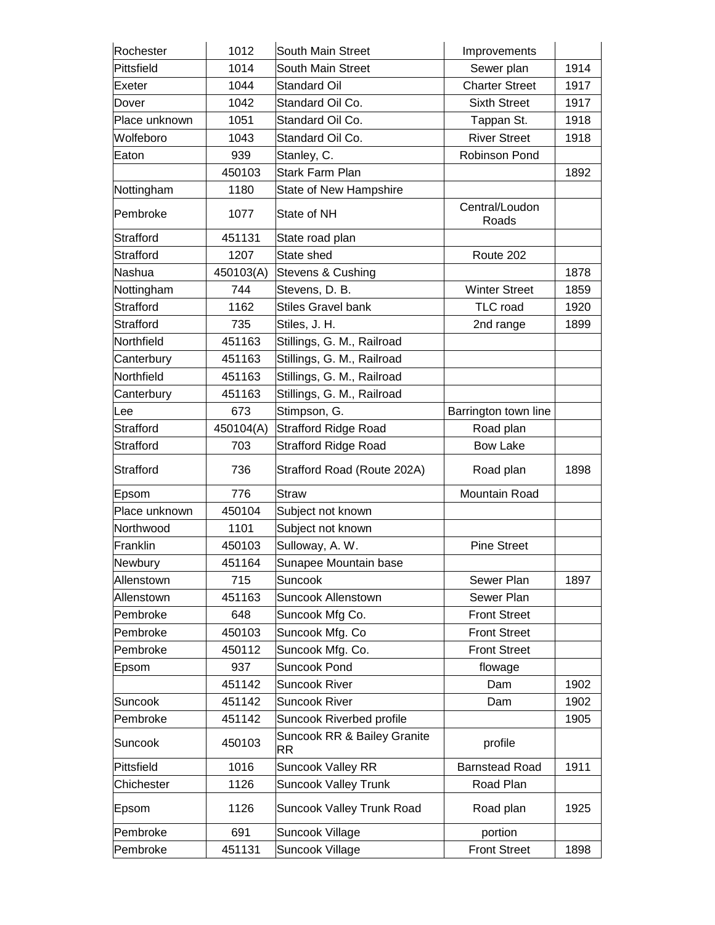| Rochester        | 1012      | South Main Street                        | Improvements            |      |
|------------------|-----------|------------------------------------------|-------------------------|------|
| Pittsfield       | 1014      | <b>South Main Street</b>                 | Sewer plan              | 1914 |
| Exeter           | 1044      | <b>Standard Oil</b>                      | <b>Charter Street</b>   | 1917 |
| Dover            | 1042      | Standard Oil Co.                         | <b>Sixth Street</b>     | 1917 |
| Place unknown    | 1051      | Standard Oil Co.                         | Tappan St.              | 1918 |
| Wolfeboro        | 1043      | Standard Oil Co.                         | <b>River Street</b>     | 1918 |
| Eaton            | 939       | Stanley, C.                              | Robinson Pond           |      |
|                  | 450103    | <b>Stark Farm Plan</b>                   |                         | 1892 |
| Nottingham       | 1180      | State of New Hampshire                   |                         |      |
| Pembroke         | 1077      | State of NH                              | Central/Loudon<br>Roads |      |
| Strafford        | 451131    | State road plan                          |                         |      |
| Strafford        | 1207      | State shed                               | Route 202               |      |
| Nashua           | 450103(A) | Stevens & Cushing                        |                         | 1878 |
| Nottingham       | 744       | Stevens, D. B.                           | <b>Winter Street</b>    | 1859 |
| <b>Strafford</b> | 1162      | <b>Stiles Gravel bank</b>                | <b>TLC</b> road         | 1920 |
| Strafford        | 735       | Stiles, J. H.                            | 2nd range               | 1899 |
| Northfield       | 451163    | Stillings, G. M., Railroad               |                         |      |
| Canterbury       | 451163    | Stillings, G. M., Railroad               |                         |      |
| Northfield       | 451163    | Stillings, G. M., Railroad               |                         |      |
| Canterbury       | 451163    | Stillings, G. M., Railroad               |                         |      |
| Lee              | 673       | Stimpson, G.                             | Barrington town line    |      |
| <b>Strafford</b> | 450104(A) | <b>Strafford Ridge Road</b>              | Road plan               |      |
| <b>Strafford</b> | 703       | <b>Strafford Ridge Road</b>              | <b>Bow Lake</b>         |      |
| Strafford        | 736       | Strafford Road (Route 202A)              | Road plan               | 1898 |
| Epsom            | 776       | Straw                                    | Mountain Road           |      |
| Place unknown    | 450104    | Subject not known                        |                         |      |
| Northwood        | 1101      | Subject not known                        |                         |      |
| Franklin         | 450103    | Sulloway, A. W.                          | <b>Pine Street</b>      |      |
| Newbury          | 451164    | Sunapee Mountain base                    |                         |      |
| Allenstown       | 715       | Suncook                                  | Sewer Plan              | 1897 |
| Allenstown       | 451163    | <b>Suncook Allenstown</b>                | Sewer Plan              |      |
| Pembroke         | 648       | Suncook Mfg Co.                          | <b>Front Street</b>     |      |
| Pembroke         | 450103    | Suncook Mfg. Co                          | <b>Front Street</b>     |      |
| Pembroke         | 450112    | Suncook Mfg. Co.                         | <b>Front Street</b>     |      |
| Epsom            | 937       | <b>Suncook Pond</b>                      | flowage                 |      |
|                  | 451142    | <b>Suncook River</b>                     | Dam                     | 1902 |
| Suncook          | 451142    | <b>Suncook River</b>                     | Dam                     | 1902 |
| Pembroke         | 451142    | Suncook Riverbed profile                 |                         | 1905 |
| Suncook          | 450103    | Suncook RR & Bailey Granite<br><b>RR</b> | profile                 |      |
| Pittsfield       | 1016      | <b>Suncook Valley RR</b>                 | <b>Barnstead Road</b>   | 1911 |
| Chichester       | 1126      | <b>Suncook Valley Trunk</b>              | Road Plan               |      |
| Epsom            | 1126      | Suncook Valley Trunk Road                | Road plan               | 1925 |
| Pembroke         | 691       | Suncook Village                          | portion                 |      |
| Pembroke         | 451131    | Suncook Village                          | <b>Front Street</b>     | 1898 |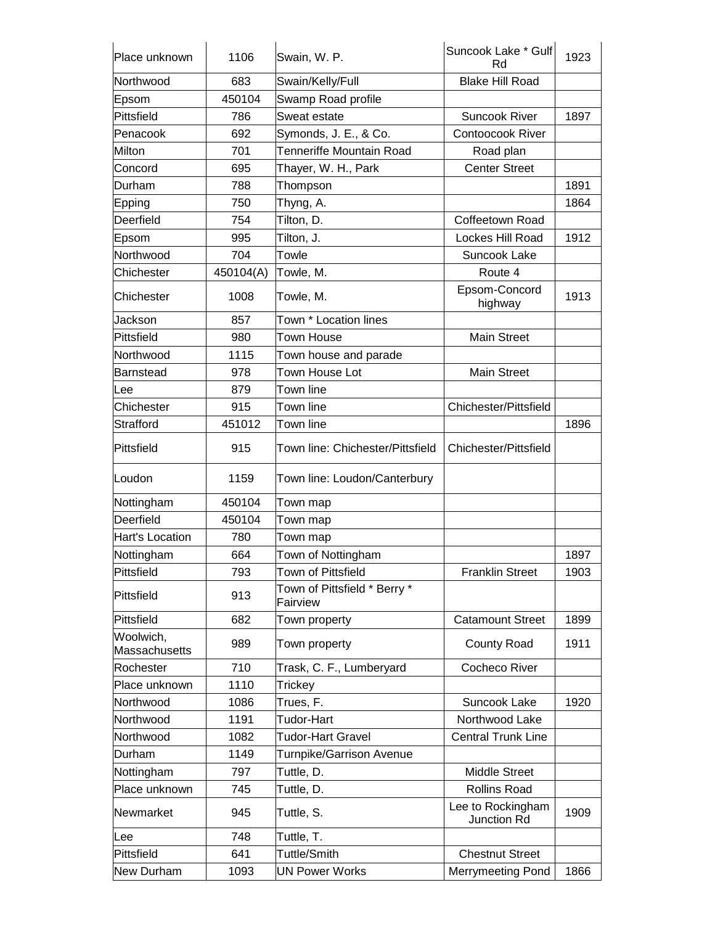| Place unknown                     | 1106      | Swain, W. P.                             | Suncook Lake * Gulf<br>Rd        | 1923 |
|-----------------------------------|-----------|------------------------------------------|----------------------------------|------|
| Northwood                         | 683       | Swain/Kelly/Full                         | <b>Blake Hill Road</b>           |      |
| Epsom                             | 450104    | Swamp Road profile                       |                                  |      |
| Pittsfield                        | 786       | Sweat estate                             | <b>Suncook River</b>             | 1897 |
| Penacook                          | 692       | Symonds, J. E., & Co.                    | <b>Contoocook River</b>          |      |
| Milton                            | 701       | Tenneriffe Mountain Road                 | Road plan                        |      |
| Concord                           | 695       | Thayer, W. H., Park                      | <b>Center Street</b>             |      |
| Durham                            | 788       | Thompson                                 |                                  | 1891 |
| Epping                            | 750       | Thyng, A.                                |                                  | 1864 |
| Deerfield                         | 754       | Tilton, D.                               | Coffeetown Road                  |      |
| Epsom                             | 995       | Tilton, J.                               | Lockes Hill Road                 | 1912 |
| Northwood                         | 704       | Towle                                    | Suncook Lake                     |      |
| Chichester                        | 450104(A) | Towle, M.                                | Route 4                          |      |
| Chichester                        | 1008      | Towle, M.                                | Epsom-Concord<br>highway         | 1913 |
| Jackson                           | 857       | Town * Location lines                    |                                  |      |
| <b>Pittsfield</b>                 | 980       | <b>Town House</b>                        | <b>Main Street</b>               |      |
| Northwood                         | 1115      | Town house and parade                    |                                  |      |
| <b>Barnstead</b>                  | 978       | Town House Lot                           | <b>Main Street</b>               |      |
| Lee                               | 879       | Town line                                |                                  |      |
| Chichester                        | 915       | Town line                                | Chichester/Pittsfield            |      |
| Strafford                         | 451012    | Town line                                |                                  | 1896 |
| Pittsfield                        | 915       | Town line: Chichester/Pittsfield         | Chichester/Pittsfield            |      |
| Loudon                            | 1159      | Town line: Loudon/Canterbury             |                                  |      |
| Nottingham                        | 450104    | Town map                                 |                                  |      |
| Deerfield                         | 450104    | Town map                                 |                                  |      |
| Hart's Location                   | 780       | Town map                                 |                                  |      |
| Nottingham                        | 664       | Town of Nottingham                       |                                  | 1897 |
| Pittsfield                        | 793       | Town of Pittsfield                       | <b>Franklin Street</b>           | 1903 |
| Pittsfield                        | 913       | Town of Pittsfield * Berry *<br>Fairview |                                  |      |
| Pittsfield                        | 682       | Town property                            | <b>Catamount Street</b>          | 1899 |
| Woolwich,<br><b>Massachusetts</b> | 989       | Town property                            | County Road                      | 1911 |
| Rochester                         | 710       | Trask, C. F., Lumberyard                 | Cocheco River                    |      |
| Place unknown                     | 1110      | Trickey                                  |                                  |      |
| Northwood                         | 1086      | Trues, F.                                | Suncook Lake                     | 1920 |
| Northwood                         | 1191      | Tudor-Hart                               | Northwood Lake                   |      |
| Northwood                         | 1082      | Tudor-Hart Gravel                        | <b>Central Trunk Line</b>        |      |
| Durham                            | 1149      | Turnpike/Garrison Avenue                 |                                  |      |
| Nottingham                        | 797       | Tuttle, D.                               | <b>Middle Street</b>             |      |
| Place unknown                     | 745       | Tuttle, D.                               | <b>Rollins Road</b>              |      |
| Newmarket                         | 945       | Tuttle, S.                               | Lee to Rockingham<br>Junction Rd | 1909 |
| Lee                               | 748       | Tuttle, T.                               |                                  |      |
| Pittsfield                        | 641       | Tuttle/Smith                             | <b>Chestnut Street</b>           |      |
| New Durham                        | 1093      | <b>UN Power Works</b>                    | Merrymeeting Pond                | 1866 |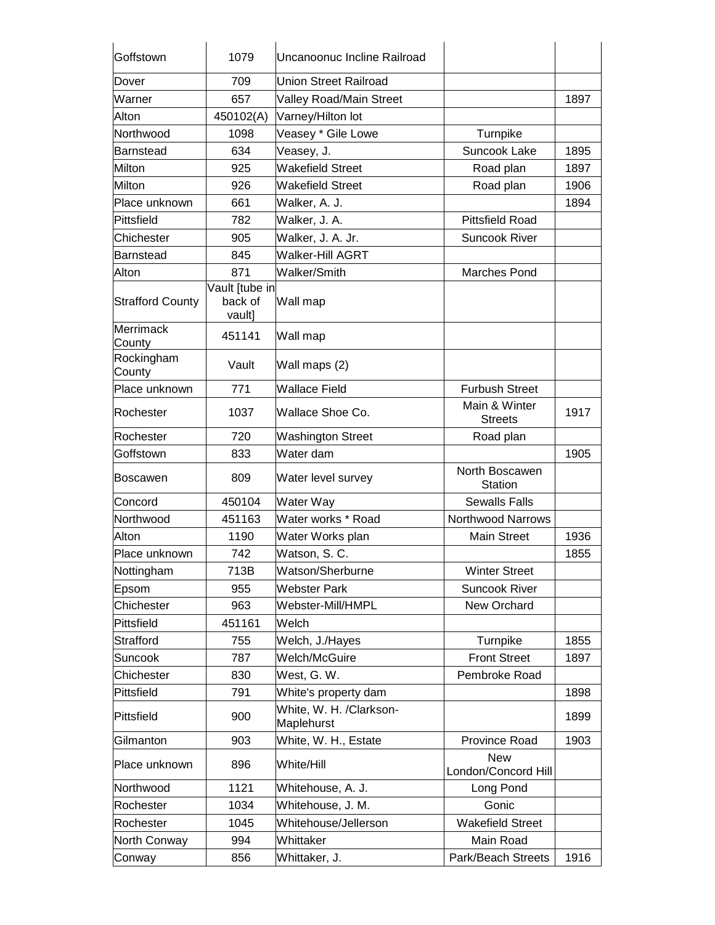| Goffstown               | 1079                                | Uncanoonuc Incline Railroad           |                                   |      |
|-------------------------|-------------------------------------|---------------------------------------|-----------------------------------|------|
| Dover                   | 709                                 | Union Street Railroad                 |                                   |      |
| Warner                  | 657                                 | Valley Road/Main Street               |                                   | 1897 |
| Alton                   | 450102(A)                           | Varney/Hilton lot                     |                                   |      |
| Northwood               | 1098                                | Veasey * Gile Lowe                    | Turnpike                          |      |
| Barnstead               | 634                                 | Veasey, J.                            | Suncook Lake                      | 1895 |
| Milton                  | 925                                 | <b>Wakefield Street</b>               | Road plan                         | 1897 |
| Milton                  | 926                                 | <b>Wakefield Street</b>               | Road plan                         | 1906 |
| Place unknown           | 661                                 | Walker, A. J.                         |                                   | 1894 |
| Pittsfield              | 782                                 | Walker, J. A.                         | <b>Pittsfield Road</b>            |      |
| Chichester              | 905                                 | Walker, J. A. Jr.                     | <b>Suncook River</b>              |      |
| Barnstead               | 845                                 | Walker-Hill AGRT                      |                                   |      |
| Alton                   | 871                                 | Walker/Smith                          | <b>Marches Pond</b>               |      |
| <b>Strafford County</b> | Vault [tube in<br>back of<br>vault] | Wall map                              |                                   |      |
| Merrimack<br>County     | 451141                              | Wall map                              |                                   |      |
| Rockingham<br>County    | Vault                               | Wall maps (2)                         |                                   |      |
| Place unknown           | 771                                 | <b>Wallace Field</b>                  | <b>Furbush Street</b>             |      |
| Rochester               | 1037                                | Wallace Shoe Co.                      | Main & Winter<br><b>Streets</b>   | 1917 |
| Rochester               | 720                                 | <b>Washington Street</b>              | Road plan                         |      |
| Goffstown               | 833                                 | Water dam                             |                                   | 1905 |
| <b>Boscawen</b>         | 809                                 | Water level survey                    | North Boscawen<br><b>Station</b>  |      |
| Concord                 | 450104                              | Water Way                             | <b>Sewalls Falls</b>              |      |
| Northwood               | 451163                              | Water works * Road                    | <b>Northwood Narrows</b>          |      |
| Alton                   | 1190                                | Water Works plan                      | <b>Main Street</b>                | 1936 |
| Place unknown           | 742                                 | Watson, S. C.                         |                                   | 1855 |
| Nottingham              | 713B                                | Watson/Sherburne                      | <b>Winter Street</b>              |      |
| Epsom                   | 955                                 | <b>Webster Park</b>                   | <b>Suncook River</b>              |      |
| Chichester              | 963                                 | Webster-Mill/HMPL                     | New Orchard                       |      |
| Pittsfield              | 451161                              | Welch                                 |                                   |      |
| Strafford               | 755                                 | Welch, J./Hayes                       | Turnpike                          | 1855 |
| Suncook                 | 787                                 | Welch/McGuire                         | <b>Front Street</b>               | 1897 |
| Chichester              | 830                                 | West, G. W.                           | Pembroke Road                     |      |
| Pittsfield              | 791                                 | White's property dam                  |                                   | 1898 |
| Pittsfield              | 900                                 | White, W. H. /Clarkson-<br>Maplehurst |                                   | 1899 |
| Gilmanton               | 903                                 | White, W. H., Estate                  | Province Road                     | 1903 |
| Place unknown           | 896                                 | White/Hill                            | <b>New</b><br>London/Concord Hill |      |
| Northwood               | 1121                                | Whitehouse, A. J.                     | Long Pond                         |      |
| Rochester               | 1034                                | Whitehouse, J. M.                     | Gonic                             |      |
| Rochester               | 1045                                | Whitehouse/Jellerson                  | <b>Wakefield Street</b>           |      |
| North Conway            | 994                                 | Whittaker                             | Main Road                         |      |
| Conway                  | 856                                 | Whittaker, J.                         | Park/Beach Streets                | 1916 |